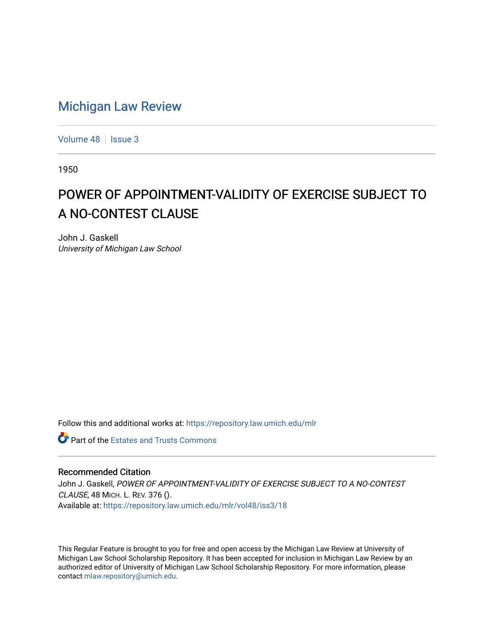## [Michigan Law Review](https://repository.law.umich.edu/mlr)

[Volume 48](https://repository.law.umich.edu/mlr/vol48) | [Issue 3](https://repository.law.umich.edu/mlr/vol48/iss3)

1950

## POWER OF APPOINTMENT-VALIDITY OF EXERCISE SUBJECT TO A NO-CONTEST CLAUSE

John J. Gaskell University of Michigan Law School

Follow this and additional works at: [https://repository.law.umich.edu/mlr](https://repository.law.umich.edu/mlr?utm_source=repository.law.umich.edu%2Fmlr%2Fvol48%2Fiss3%2F18&utm_medium=PDF&utm_campaign=PDFCoverPages) 

**Part of the Estates and Trusts Commons** 

## Recommended Citation

John J. Gaskell, POWER OF APPOINTMENT-VALIDITY OF EXERCISE SUBJECT TO A NO-CONTEST CLAUSE, 48 MICH. L. REV. 376 (). Available at: [https://repository.law.umich.edu/mlr/vol48/iss3/18](https://repository.law.umich.edu/mlr/vol48/iss3/18?utm_source=repository.law.umich.edu%2Fmlr%2Fvol48%2Fiss3%2F18&utm_medium=PDF&utm_campaign=PDFCoverPages) 

This Regular Feature is brought to you for free and open access by the Michigan Law Review at University of Michigan Law School Scholarship Repository. It has been accepted for inclusion in Michigan Law Review by an authorized editor of University of Michigan Law School Scholarship Repository. For more information, please contact [mlaw.repository@umich.edu](mailto:mlaw.repository@umich.edu).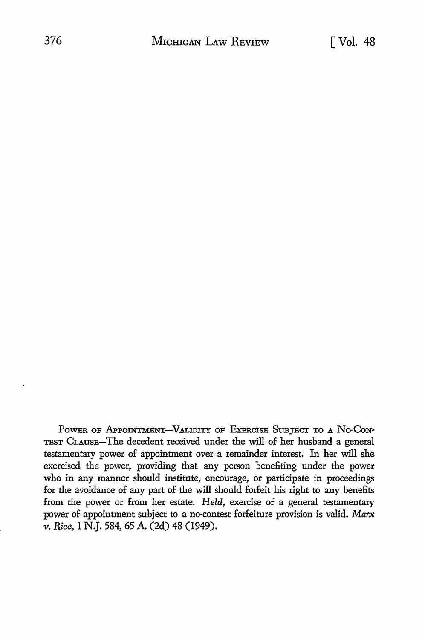POWER OF APPOINTMENT-VALIDITY OF EXERCISE SUBJECT TO A NO-CON-TEST CLAUSE-The decedent received under the will of her husband a general testamentary power of appointment over a remainder interest. In her will she exercised the power, providing that any person benefiting under the power who in any manner should institute, encourage, or participate in proceedings for the avoidance of any part of the will should forfeit his right to any benefits from the power or from her estate. *Held,* exercise of a general testamentary power of appointment subject to a no-contest forfeiture provision is valid. Marx *v. Rice,* I N.J. 584, 65 A. (2d) 48 (1949).